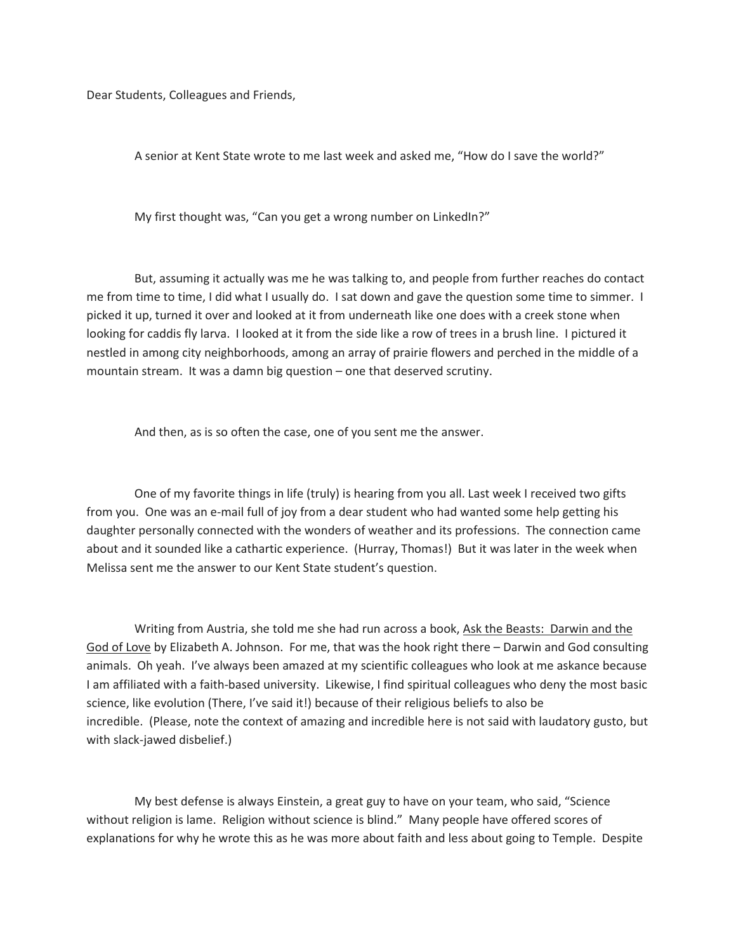Dear Students, Colleagues and Friends,

A senior at Kent State wrote to me last week and asked me, "How do I save the world?"

My first thought was, "Can you get a wrong number on LinkedIn?"

 But, assuming it actually was me he was talking to, and people from further reaches do contact me from time to time, I did what I usually do. I sat down and gave the question some time to simmer. I picked it up, turned it over and looked at it from underneath like one does with a creek stone when looking for caddis fly larva. I looked at it from the side like a row of trees in a brush line. I pictured it nestled in among city neighborhoods, among an array of prairie flowers and perched in the middle of a mountain stream. It was a damn big question – one that deserved scrutiny.

And then, as is so often the case, one of you sent me the answer.

 One of my favorite things in life (truly) is hearing from you all. Last week I received two gifts from you. One was an e-mail full of joy from a dear student who had wanted some help getting his daughter personally connected with the wonders of weather and its professions. The connection came about and it sounded like a cathartic experience. (Hurray, Thomas!) But it was later in the week when Melissa sent me the answer to our Kent State student's question.

Writing from Austria, she told me she had run across a book, Ask the Beasts: Darwin and the God of Love by Elizabeth A. Johnson. For me, that was the hook right there – Darwin and God consulting animals. Oh yeah. I've always been amazed at my scientific colleagues who look at me askance because I am affiliated with a faith-based university. Likewise, I find spiritual colleagues who deny the most basic science, like evolution (There, I've said it!) because of their religious beliefs to also be incredible. (Please, note the context of amazing and incredible here is not said with laudatory gusto, but with slack-jawed disbelief.)

 My best defense is always Einstein, a great guy to have on your team, who said, "Science without religion is lame. Religion without science is blind." Many people have offered scores of explanations for why he wrote this as he was more about faith and less about going to Temple. Despite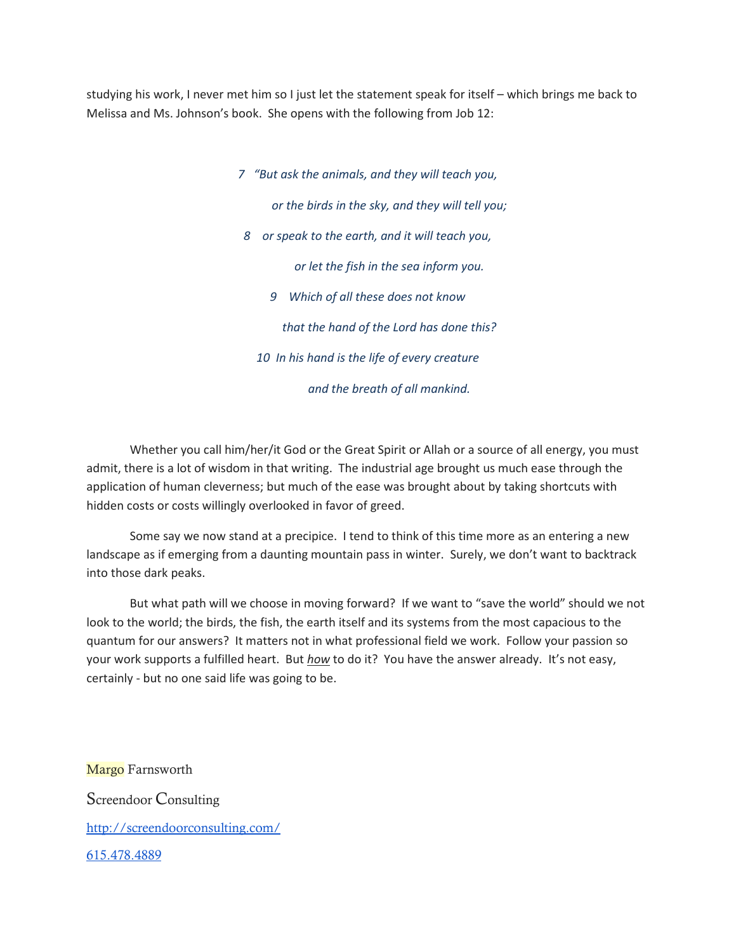studying his work, I never met him so I just let the statement speak for itself – which brings me back to Melissa and Ms. Johnson's book. She opens with the following from Job 12:

> 7 "But ask the animals, and they will teach you, or the birds in the sky, and they will tell you; 8 or speak to the earth, and it will teach you, or let the fish in the sea inform you. 9 Which of all these does not know that the hand of the Lord has done this? 10 In his hand is the life of every creature and the breath of all mankind.

Whether you call him/her/it God or the Great Spirit or Allah or a source of all energy, you must admit, there is a lot of wisdom in that writing. The industrial age brought us much ease through the application of human cleverness; but much of the ease was brought about by taking shortcuts with hidden costs or costs willingly overlooked in favor of greed.

Some say we now stand at a precipice. I tend to think of this time more as an entering a new landscape as if emerging from a daunting mountain pass in winter. Surely, we don't want to backtrack into those dark peaks.

But what path will we choose in moving forward? If we want to "save the world" should we not look to the world; the birds, the fish, the earth itself and its systems from the most capacious to the quantum for our answers? It matters not in what professional field we work. Follow your passion so your work supports a fulfilled heart. But how to do it? You have the answer already. It's not easy, certainly - but no one said life was going to be.

Margo Farnsworth Screendoor Consulting http://screendoorconsulting.com/ 615.478.4889